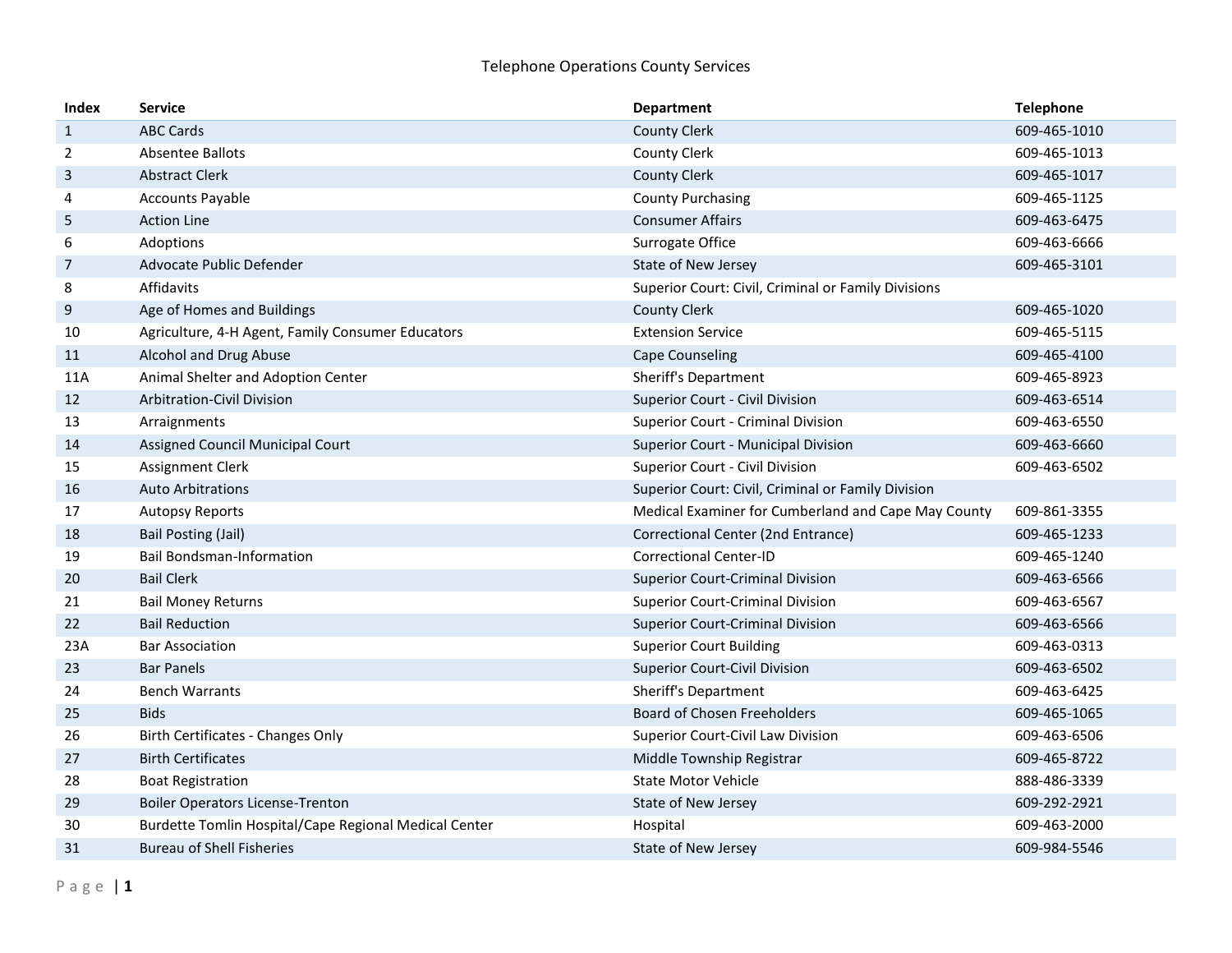| <b>Index</b>   | <b>Service</b>                                        | <b>Department</b>                                   | <b>Telephone</b> |
|----------------|-------------------------------------------------------|-----------------------------------------------------|------------------|
| $\mathbf{1}$   | <b>ABC Cards</b>                                      | <b>County Clerk</b>                                 | 609-465-1010     |
| $\overline{2}$ | Absentee Ballots                                      | <b>County Clerk</b>                                 | 609-465-1013     |
| 3              | <b>Abstract Clerk</b>                                 | <b>County Clerk</b>                                 | 609-465-1017     |
| 4              | <b>Accounts Payable</b>                               | <b>County Purchasing</b>                            | 609-465-1125     |
| 5              | <b>Action Line</b>                                    | <b>Consumer Affairs</b>                             | 609-463-6475     |
| 6              | Adoptions                                             | Surrogate Office                                    | 609-463-6666     |
| $\overline{7}$ | Advocate Public Defender                              | State of New Jersey                                 | 609-465-3101     |
| 8              | Affidavits                                            | Superior Court: Civil, Criminal or Family Divisions |                  |
| 9              | Age of Homes and Buildings                            | <b>County Clerk</b>                                 | 609-465-1020     |
| 10             | Agriculture, 4-H Agent, Family Consumer Educators     | <b>Extension Service</b>                            | 609-465-5115     |
| 11             | Alcohol and Drug Abuse                                | <b>Cape Counseling</b>                              | 609-465-4100     |
| 11A            | Animal Shelter and Adoption Center                    | <b>Sheriff's Department</b>                         | 609-465-8923     |
| 12             | <b>Arbitration-Civil Division</b>                     | Superior Court - Civil Division                     | 609-463-6514     |
| 13             | Arraignments                                          | Superior Court - Criminal Division                  | 609-463-6550     |
| 14             | Assigned Council Municipal Court                      | Superior Court - Municipal Division                 | 609-463-6660     |
| 15             | Assignment Clerk                                      | Superior Court - Civil Division                     | 609-463-6502     |
| 16             | <b>Auto Arbitrations</b>                              | Superior Court: Civil, Criminal or Family Division  |                  |
| 17             | <b>Autopsy Reports</b>                                | Medical Examiner for Cumberland and Cape May County | 609-861-3355     |
| 18             | <b>Bail Posting (Jail)</b>                            | Correctional Center (2nd Entrance)                  | 609-465-1233     |
| 19             | <b>Bail Bondsman-Information</b>                      | <b>Correctional Center-ID</b>                       | 609-465-1240     |
| 20             | <b>Bail Clerk</b>                                     | <b>Superior Court-Criminal Division</b>             | 609-463-6566     |
| 21             | <b>Bail Money Returns</b>                             | <b>Superior Court-Criminal Division</b>             | 609-463-6567     |
| 22             | <b>Bail Reduction</b>                                 | <b>Superior Court-Criminal Division</b>             | 609-463-6566     |
| 23A            | <b>Bar Association</b>                                | <b>Superior Court Building</b>                      | 609-463-0313     |
| 23             | <b>Bar Panels</b>                                     | <b>Superior Court-Civil Division</b>                | 609-463-6502     |
| 24             | <b>Bench Warrants</b>                                 | <b>Sheriff's Department</b>                         | 609-463-6425     |
| 25             | <b>Bids</b>                                           | <b>Board of Chosen Freeholders</b>                  | 609-465-1065     |
| 26             | Birth Certificates - Changes Only                     | <b>Superior Court-Civil Law Division</b>            | 609-463-6506     |
| 27             | <b>Birth Certificates</b>                             | Middle Township Registrar                           | 609-465-8722     |
| 28             | <b>Boat Registration</b>                              | <b>State Motor Vehicle</b>                          | 888-486-3339     |
| 29             | <b>Boiler Operators License-Trenton</b>               | State of New Jersey                                 | 609-292-2921     |
| 30             | Burdette Tomlin Hospital/Cape Regional Medical Center | Hospital                                            | 609-463-2000     |
| 31             | <b>Bureau of Shell Fisheries</b>                      | State of New Jersey                                 | 609-984-5546     |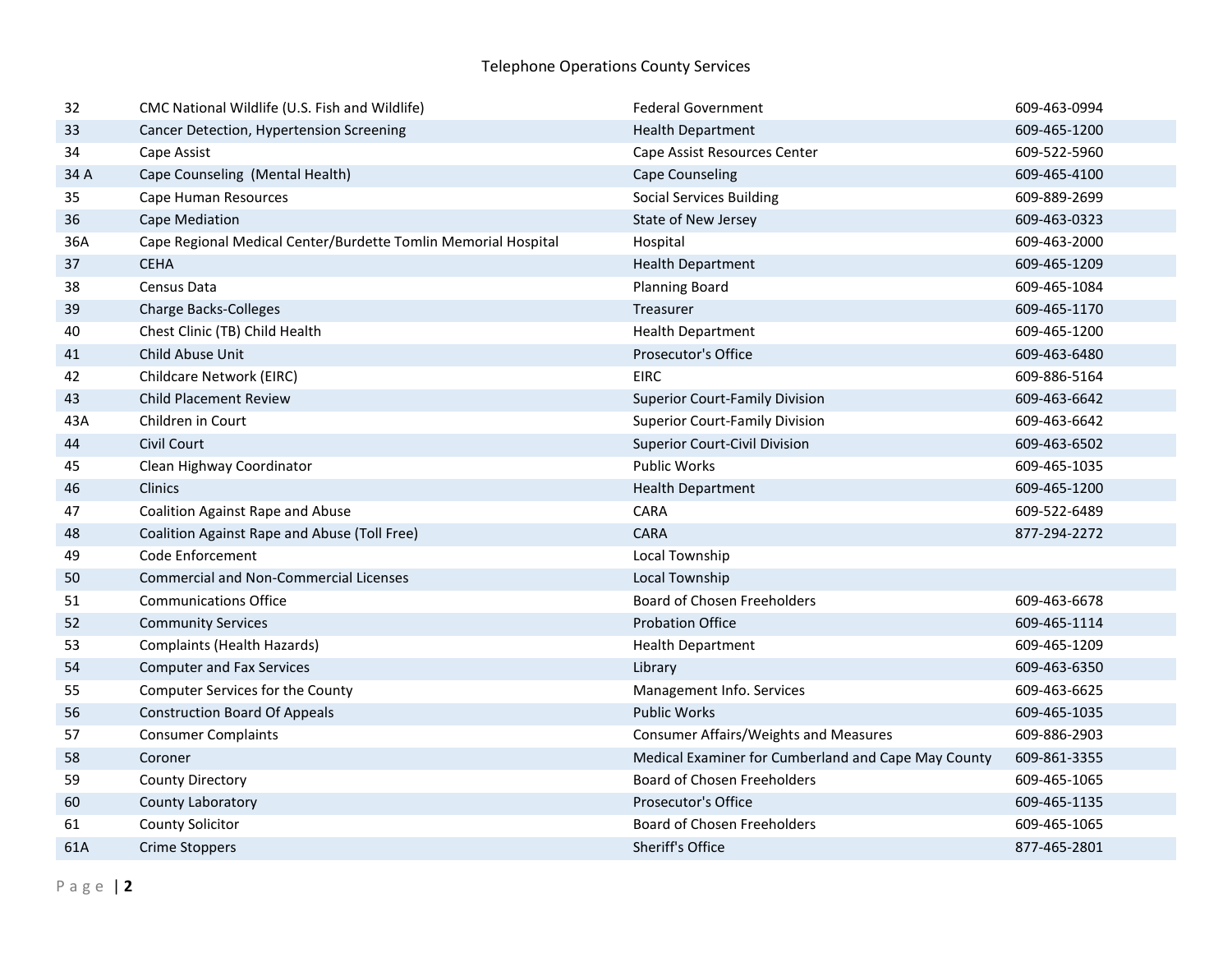| 32   | CMC National Wildlife (U.S. Fish and Wildlife)                 | <b>Federal Government</b>                           | 609-463-0994 |
|------|----------------------------------------------------------------|-----------------------------------------------------|--------------|
| 33   | Cancer Detection, Hypertension Screening                       | <b>Health Department</b>                            | 609-465-1200 |
| 34   | Cape Assist                                                    | Cape Assist Resources Center                        | 609-522-5960 |
| 34 A | Cape Counseling (Mental Health)                                | <b>Cape Counseling</b>                              | 609-465-4100 |
| 35   | Cape Human Resources                                           | <b>Social Services Building</b>                     | 609-889-2699 |
| 36   | Cape Mediation                                                 | State of New Jersey                                 | 609-463-0323 |
| 36A  | Cape Regional Medical Center/Burdette Tomlin Memorial Hospital | Hospital                                            | 609-463-2000 |
| 37   | <b>CEHA</b>                                                    | <b>Health Department</b>                            | 609-465-1209 |
| 38   | Census Data                                                    | <b>Planning Board</b>                               | 609-465-1084 |
| 39   | <b>Charge Backs-Colleges</b>                                   | Treasurer                                           | 609-465-1170 |
| 40   | Chest Clinic (TB) Child Health                                 | <b>Health Department</b>                            | 609-465-1200 |
| 41   | Child Abuse Unit                                               | <b>Prosecutor's Office</b>                          | 609-463-6480 |
| 42   | Childcare Network (EIRC)                                       | <b>EIRC</b>                                         | 609-886-5164 |
| 43   | <b>Child Placement Review</b>                                  | <b>Superior Court-Family Division</b>               | 609-463-6642 |
| 43A  | Children in Court                                              | <b>Superior Court-Family Division</b>               | 609-463-6642 |
| 44   | Civil Court                                                    | <b>Superior Court-Civil Division</b>                | 609-463-6502 |
| 45   | Clean Highway Coordinator                                      | Public Works                                        | 609-465-1035 |
| 46   | Clinics                                                        | <b>Health Department</b>                            | 609-465-1200 |
| 47   | <b>Coalition Against Rape and Abuse</b>                        | CARA                                                | 609-522-6489 |
| 48   | Coalition Against Rape and Abuse (Toll Free)                   | <b>CARA</b>                                         | 877-294-2272 |
| 49   | Code Enforcement                                               | Local Township                                      |              |
| 50   | <b>Commercial and Non-Commercial Licenses</b>                  | Local Township                                      |              |
| 51   | <b>Communications Office</b>                                   | <b>Board of Chosen Freeholders</b>                  | 609-463-6678 |
| 52   | <b>Community Services</b>                                      | <b>Probation Office</b>                             | 609-465-1114 |
| 53   | Complaints (Health Hazards)                                    | <b>Health Department</b>                            | 609-465-1209 |
| 54   | <b>Computer and Fax Services</b>                               | Library                                             | 609-463-6350 |
| 55   | Computer Services for the County                               | Management Info. Services                           | 609-463-6625 |
| 56   | <b>Construction Board Of Appeals</b>                           | <b>Public Works</b>                                 | 609-465-1035 |
| 57   | <b>Consumer Complaints</b>                                     | <b>Consumer Affairs/Weights and Measures</b>        | 609-886-2903 |
| 58   | Coroner                                                        | Medical Examiner for Cumberland and Cape May County | 609-861-3355 |
| 59   | <b>County Directory</b>                                        | <b>Board of Chosen Freeholders</b>                  | 609-465-1065 |
| 60   | County Laboratory                                              | <b>Prosecutor's Office</b>                          | 609-465-1135 |
| 61   | <b>County Solicitor</b>                                        | <b>Board of Chosen Freeholders</b>                  | 609-465-1065 |
| 61A  | <b>Crime Stoppers</b>                                          | Sheriff's Office                                    | 877-465-2801 |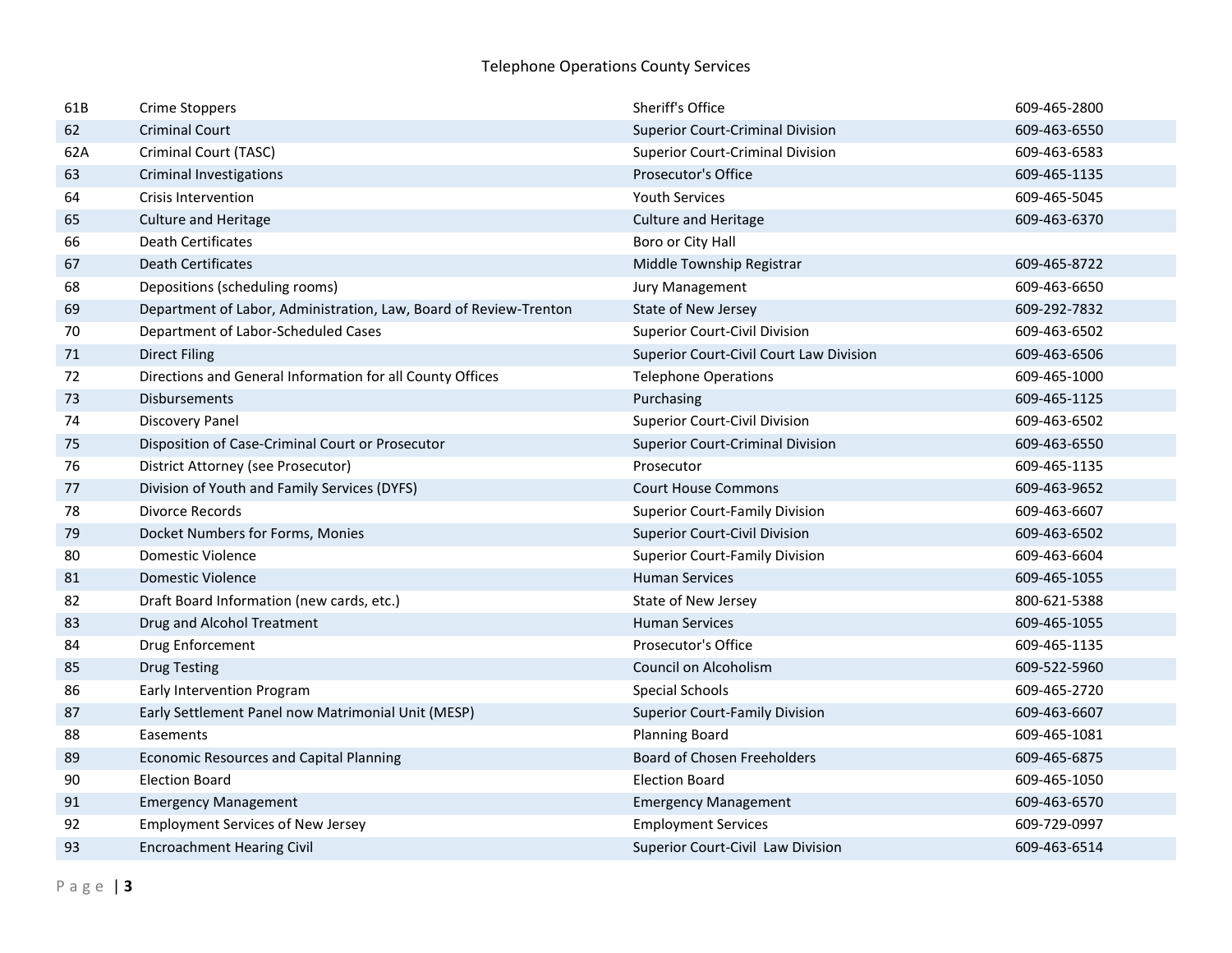| 61B | <b>Crime Stoppers</b>                                             | Sheriff's Office                        | 609-465-2800 |
|-----|-------------------------------------------------------------------|-----------------------------------------|--------------|
| 62  | <b>Criminal Court</b>                                             | <b>Superior Court-Criminal Division</b> | 609-463-6550 |
| 62A | Criminal Court (TASC)                                             | <b>Superior Court-Criminal Division</b> | 609-463-6583 |
| 63  | Criminal Investigations                                           | Prosecutor's Office                     | 609-465-1135 |
| 64  | <b>Crisis Intervention</b>                                        | <b>Youth Services</b>                   | 609-465-5045 |
| 65  | <b>Culture and Heritage</b>                                       | <b>Culture and Heritage</b>             | 609-463-6370 |
| 66  | <b>Death Certificates</b>                                         | Boro or City Hall                       |              |
| 67  | <b>Death Certificates</b>                                         | Middle Township Registrar               | 609-465-8722 |
| 68  | Depositions (scheduling rooms)                                    | Jury Management                         | 609-463-6650 |
| 69  | Department of Labor, Administration, Law, Board of Review-Trenton | State of New Jersey                     | 609-292-7832 |
| 70  | Department of Labor-Scheduled Cases                               | <b>Superior Court-Civil Division</b>    | 609-463-6502 |
| 71  | <b>Direct Filing</b>                                              | Superior Court-Civil Court Law Division | 609-463-6506 |
| 72  | Directions and General Information for all County Offices         | <b>Telephone Operations</b>             | 609-465-1000 |
| 73  | <b>Disbursements</b>                                              | Purchasing                              | 609-465-1125 |
| 74  | <b>Discovery Panel</b>                                            | <b>Superior Court-Civil Division</b>    | 609-463-6502 |
| 75  | Disposition of Case-Criminal Court or Prosecutor                  | <b>Superior Court-Criminal Division</b> | 609-463-6550 |
| 76  | District Attorney (see Prosecutor)                                | Prosecutor                              | 609-465-1135 |
| 77  | Division of Youth and Family Services (DYFS)                      | <b>Court House Commons</b>              | 609-463-9652 |
| 78  | <b>Divorce Records</b>                                            | <b>Superior Court-Family Division</b>   | 609-463-6607 |
| 79  | Docket Numbers for Forms, Monies                                  | <b>Superior Court-Civil Division</b>    | 609-463-6502 |
| 80  | Domestic Violence                                                 | <b>Superior Court-Family Division</b>   | 609-463-6604 |
| 81  | Domestic Violence                                                 | <b>Human Services</b>                   | 609-465-1055 |
| 82  | Draft Board Information (new cards, etc.)                         | State of New Jersey                     | 800-621-5388 |
| 83  | Drug and Alcohol Treatment                                        | <b>Human Services</b>                   | 609-465-1055 |
| 84  | Drug Enforcement                                                  | Prosecutor's Office                     | 609-465-1135 |
| 85  | <b>Drug Testing</b>                                               | Council on Alcoholism                   | 609-522-5960 |
| 86  | Early Intervention Program                                        | <b>Special Schools</b>                  | 609-465-2720 |
| 87  | Early Settlement Panel now Matrimonial Unit (MESP)                | <b>Superior Court-Family Division</b>   | 609-463-6607 |
| 88  | Easements                                                         | <b>Planning Board</b>                   | 609-465-1081 |
| 89  | <b>Economic Resources and Capital Planning</b>                    | <b>Board of Chosen Freeholders</b>      | 609-465-6875 |
| 90  | <b>Election Board</b>                                             | <b>Election Board</b>                   | 609-465-1050 |
| 91  | <b>Emergency Management</b>                                       | <b>Emergency Management</b>             | 609-463-6570 |
| 92  | <b>Employment Services of New Jersey</b>                          | <b>Employment Services</b>              | 609-729-0997 |
| 93  | <b>Encroachment Hearing Civil</b>                                 | Superior Court-Civil Law Division       | 609-463-6514 |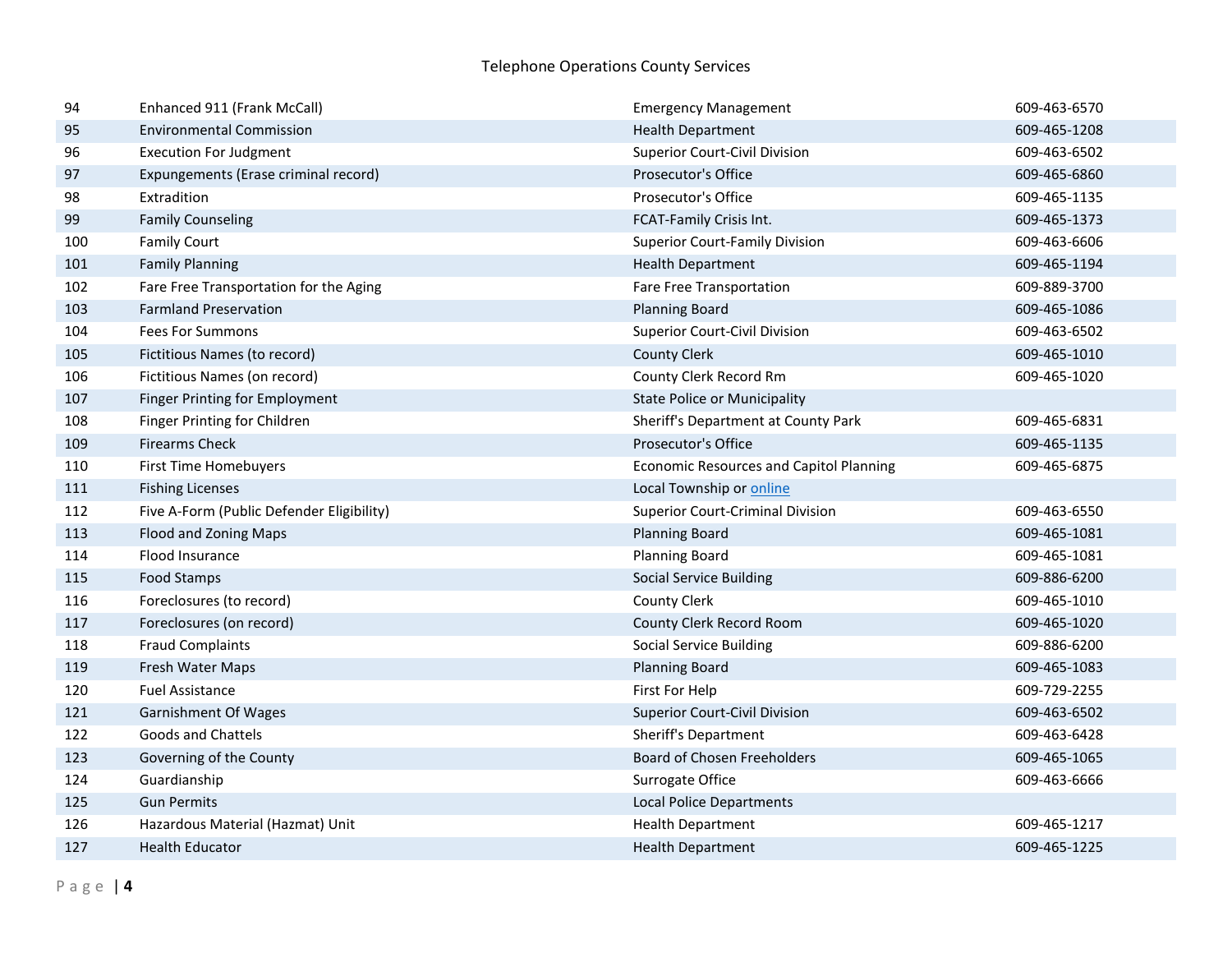| 94  | Enhanced 911 (Frank McCall)               | <b>Emergency Management</b>                    | 609-463-6570 |
|-----|-------------------------------------------|------------------------------------------------|--------------|
| 95  | <b>Environmental Commission</b>           | <b>Health Department</b>                       | 609-465-1208 |
| 96  | <b>Execution For Judgment</b>             | <b>Superior Court-Civil Division</b>           | 609-463-6502 |
| 97  | Expungements (Erase criminal record)      | Prosecutor's Office                            | 609-465-6860 |
| 98  | Extradition                               | Prosecutor's Office                            | 609-465-1135 |
| 99  | <b>Family Counseling</b>                  | FCAT-Family Crisis Int.                        | 609-465-1373 |
| 100 | <b>Family Court</b>                       | <b>Superior Court-Family Division</b>          | 609-463-6606 |
| 101 | <b>Family Planning</b>                    | <b>Health Department</b>                       | 609-465-1194 |
| 102 | Fare Free Transportation for the Aging    | Fare Free Transportation                       | 609-889-3700 |
| 103 | <b>Farmland Preservation</b>              | <b>Planning Board</b>                          | 609-465-1086 |
| 104 | <b>Fees For Summons</b>                   | <b>Superior Court-Civil Division</b>           | 609-463-6502 |
| 105 | Fictitious Names (to record)              | <b>County Clerk</b>                            | 609-465-1010 |
| 106 | Fictitious Names (on record)              | County Clerk Record Rm                         | 609-465-1020 |
| 107 | Finger Printing for Employment            | <b>State Police or Municipality</b>            |              |
| 108 | Finger Printing for Children              | Sheriff's Department at County Park            | 609-465-6831 |
| 109 | <b>Firearms Check</b>                     | Prosecutor's Office                            | 609-465-1135 |
| 110 | First Time Homebuyers                     | <b>Economic Resources and Capitol Planning</b> | 609-465-6875 |
| 111 | <b>Fishing Licenses</b>                   | Local Township or online                       |              |
| 112 | Five A-Form (Public Defender Eligibility) | <b>Superior Court-Criminal Division</b>        | 609-463-6550 |
| 113 | Flood and Zoning Maps                     | <b>Planning Board</b>                          | 609-465-1081 |
| 114 | Flood Insurance                           | <b>Planning Board</b>                          | 609-465-1081 |
| 115 | Food Stamps                               | <b>Social Service Building</b>                 | 609-886-6200 |
| 116 | Foreclosures (to record)                  | <b>County Clerk</b>                            | 609-465-1010 |
| 117 | Foreclosures (on record)                  | County Clerk Record Room                       | 609-465-1020 |
| 118 | <b>Fraud Complaints</b>                   | <b>Social Service Building</b>                 | 609-886-6200 |
| 119 | Fresh Water Maps                          | <b>Planning Board</b>                          | 609-465-1083 |
| 120 | <b>Fuel Assistance</b>                    | First For Help                                 | 609-729-2255 |
| 121 | <b>Garnishment Of Wages</b>               | <b>Superior Court-Civil Division</b>           | 609-463-6502 |
| 122 | <b>Goods and Chattels</b>                 | Sheriff's Department                           | 609-463-6428 |
| 123 | Governing of the County                   | <b>Board of Chosen Freeholders</b>             | 609-465-1065 |
| 124 | Guardianship                              | Surrogate Office                               | 609-463-6666 |
| 125 | <b>Gun Permits</b>                        | <b>Local Police Departments</b>                |              |
| 126 | Hazardous Material (Hazmat) Unit          | <b>Health Department</b>                       | 609-465-1217 |
| 127 | <b>Health Educator</b>                    | <b>Health Department</b>                       | 609-465-1225 |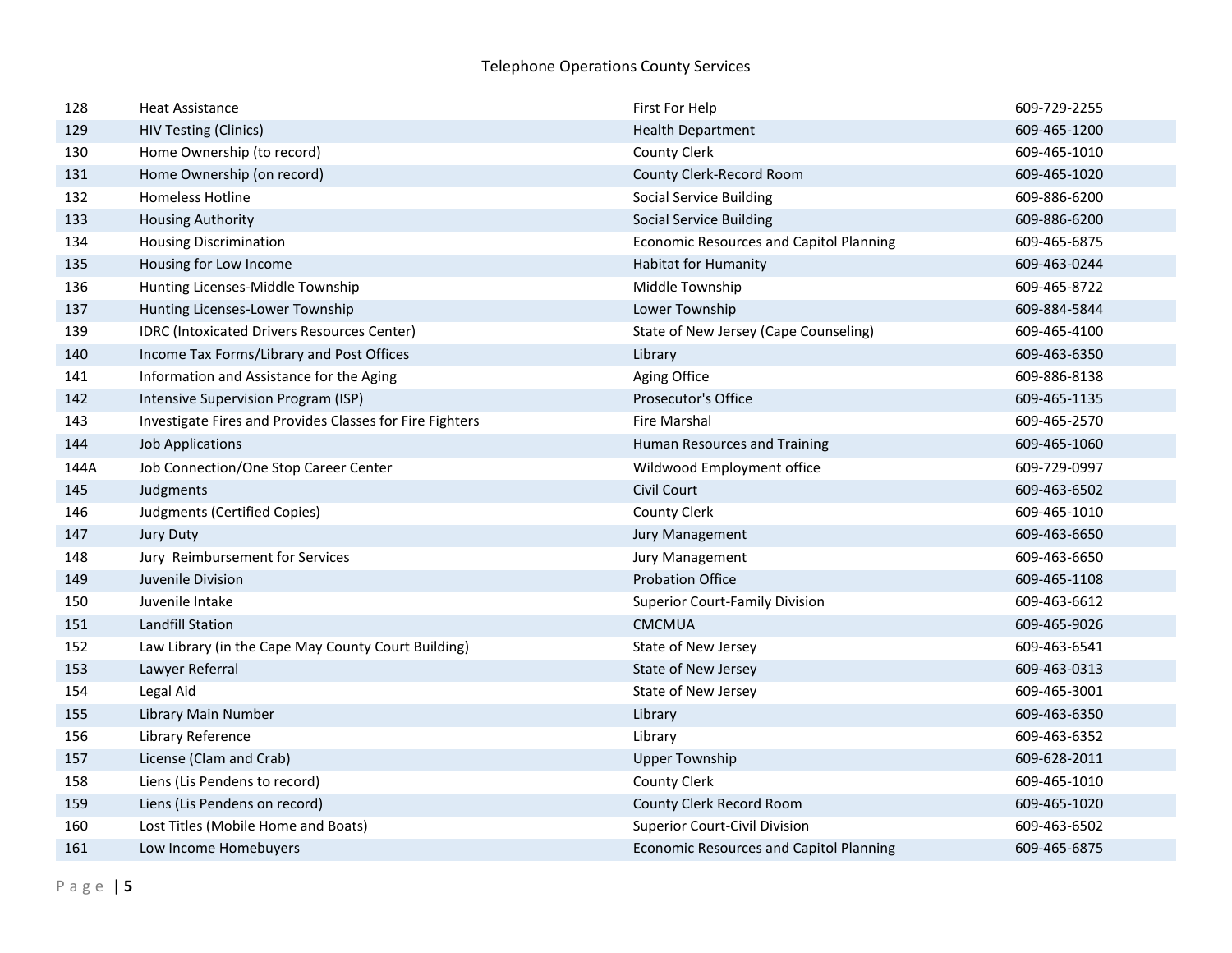| 128  | <b>Heat Assistance</b>                                   | First For Help                                 | 609-729-2255 |
|------|----------------------------------------------------------|------------------------------------------------|--------------|
| 129  | <b>HIV Testing (Clinics)</b>                             | <b>Health Department</b>                       | 609-465-1200 |
| 130  | Home Ownership (to record)                               | <b>County Clerk</b>                            | 609-465-1010 |
| 131  | Home Ownership (on record)                               | County Clerk-Record Room                       | 609-465-1020 |
| 132  | <b>Homeless Hotline</b>                                  | <b>Social Service Building</b>                 | 609-886-6200 |
| 133  | <b>Housing Authority</b>                                 | <b>Social Service Building</b>                 | 609-886-6200 |
| 134  | <b>Housing Discrimination</b>                            | <b>Economic Resources and Capitol Planning</b> | 609-465-6875 |
| 135  | Housing for Low Income                                   | <b>Habitat for Humanity</b>                    | 609-463-0244 |
| 136  | Hunting Licenses-Middle Township                         | Middle Township                                | 609-465-8722 |
| 137  | Hunting Licenses-Lower Township                          | Lower Township                                 | 609-884-5844 |
| 139  | <b>IDRC</b> (Intoxicated Drivers Resources Center)       | State of New Jersey (Cape Counseling)          | 609-465-4100 |
| 140  | Income Tax Forms/Library and Post Offices                | Library                                        | 609-463-6350 |
| 141  | Information and Assistance for the Aging                 | Aging Office                                   | 609-886-8138 |
| 142  | Intensive Supervision Program (ISP)                      | Prosecutor's Office                            | 609-465-1135 |
| 143  | Investigate Fires and Provides Classes for Fire Fighters | <b>Fire Marshal</b>                            | 609-465-2570 |
| 144  | <b>Job Applications</b>                                  | Human Resources and Training                   | 609-465-1060 |
| 144A | Job Connection/One Stop Career Center                    | Wildwood Employment office                     | 609-729-0997 |
| 145  | Judgments                                                | Civil Court                                    | 609-463-6502 |
| 146  | Judgments (Certified Copies)                             | <b>County Clerk</b>                            | 609-465-1010 |
| 147  | <b>Jury Duty</b>                                         | <b>Jury Management</b>                         | 609-463-6650 |
| 148  | Jury Reimbursement for Services                          | Jury Management                                | 609-463-6650 |
| 149  | Juvenile Division                                        | <b>Probation Office</b>                        | 609-465-1108 |
| 150  | Juvenile Intake                                          | <b>Superior Court-Family Division</b>          | 609-463-6612 |
| 151  | Landfill Station                                         | <b>CMCMUA</b>                                  | 609-465-9026 |
| 152  | Law Library (in the Cape May County Court Building)      | State of New Jersey                            | 609-463-6541 |
| 153  | Lawyer Referral                                          | <b>State of New Jersey</b>                     | 609-463-0313 |
| 154  | Legal Aid                                                | State of New Jersey                            | 609-465-3001 |
| 155  | Library Main Number                                      | Library                                        | 609-463-6350 |
| 156  | Library Reference                                        | Library                                        | 609-463-6352 |
| 157  | License (Clam and Crab)                                  | <b>Upper Township</b>                          | 609-628-2011 |
| 158  | Liens (Lis Pendens to record)                            | <b>County Clerk</b>                            | 609-465-1010 |
| 159  | Liens (Lis Pendens on record)                            | County Clerk Record Room                       | 609-465-1020 |
| 160  | Lost Titles (Mobile Home and Boats)                      | Superior Court-Civil Division                  | 609-463-6502 |
| 161  | Low Income Homebuyers                                    | <b>Economic Resources and Capitol Planning</b> | 609-465-6875 |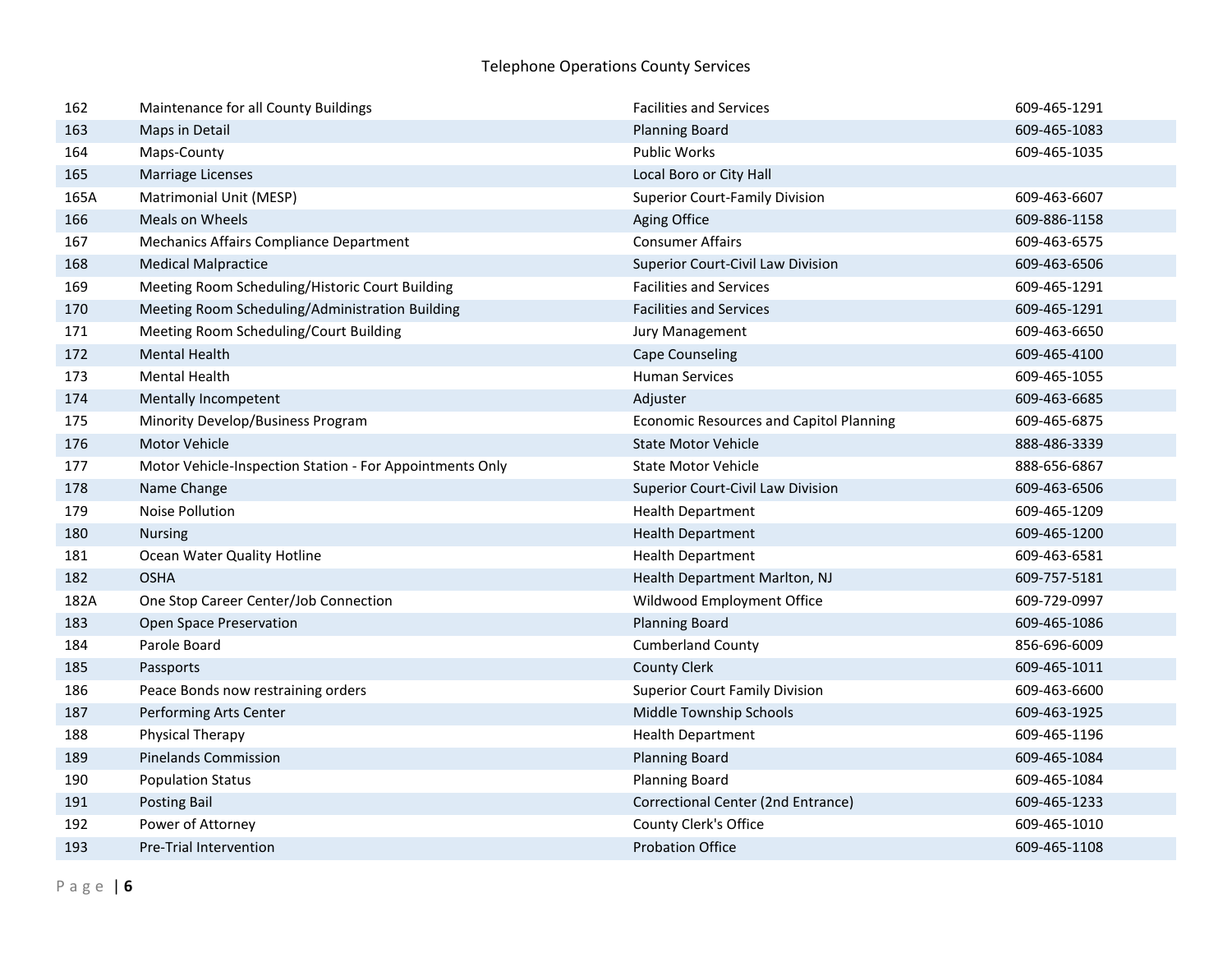| 162  | Maintenance for all County Buildings                     | <b>Facilities and Services</b>                 | 609-465-1291 |
|------|----------------------------------------------------------|------------------------------------------------|--------------|
| 163  | Maps in Detail                                           | <b>Planning Board</b>                          | 609-465-1083 |
| 164  | Maps-County                                              | Public Works                                   | 609-465-1035 |
| 165  | <b>Marriage Licenses</b>                                 | Local Boro or City Hall                        |              |
| 165A | Matrimonial Unit (MESP)                                  | <b>Superior Court-Family Division</b>          | 609-463-6607 |
| 166  | Meals on Wheels                                          | Aging Office                                   | 609-886-1158 |
| 167  | Mechanics Affairs Compliance Department                  | <b>Consumer Affairs</b>                        | 609-463-6575 |
| 168  | <b>Medical Malpractice</b>                               | Superior Court-Civil Law Division              | 609-463-6506 |
| 169  | Meeting Room Scheduling/Historic Court Building          | <b>Facilities and Services</b>                 | 609-465-1291 |
| 170  | Meeting Room Scheduling/Administration Building          | <b>Facilities and Services</b>                 | 609-465-1291 |
| 171  | Meeting Room Scheduling/Court Building                   | Jury Management                                | 609-463-6650 |
| 172  | <b>Mental Health</b>                                     | <b>Cape Counseling</b>                         | 609-465-4100 |
| 173  | <b>Mental Health</b>                                     | <b>Human Services</b>                          | 609-465-1055 |
| 174  | Mentally Incompetent                                     | Adjuster                                       | 609-463-6685 |
| 175  | Minority Develop/Business Program                        | <b>Economic Resources and Capitol Planning</b> | 609-465-6875 |
| 176  | <b>Motor Vehicle</b>                                     | <b>State Motor Vehicle</b>                     | 888-486-3339 |
| 177  | Motor Vehicle-Inspection Station - For Appointments Only | <b>State Motor Vehicle</b>                     | 888-656-6867 |
| 178  | Name Change                                              | Superior Court-Civil Law Division              | 609-463-6506 |
| 179  | Noise Pollution                                          | <b>Health Department</b>                       | 609-465-1209 |
| 180  | <b>Nursing</b>                                           | <b>Health Department</b>                       | 609-465-1200 |
| 181  | Ocean Water Quality Hotline                              | <b>Health Department</b>                       | 609-463-6581 |
| 182  | <b>OSHA</b>                                              | Health Department Marlton, NJ                  | 609-757-5181 |
| 182A | One Stop Career Center/Job Connection                    | Wildwood Employment Office                     | 609-729-0997 |
| 183  | Open Space Preservation                                  | <b>Planning Board</b>                          | 609-465-1086 |
| 184  | Parole Board                                             | <b>Cumberland County</b>                       | 856-696-6009 |
| 185  | Passports                                                | <b>County Clerk</b>                            | 609-465-1011 |
| 186  | Peace Bonds now restraining orders                       | <b>Superior Court Family Division</b>          | 609-463-6600 |
| 187  | Performing Arts Center                                   | Middle Township Schools                        | 609-463-1925 |
| 188  | Physical Therapy                                         | <b>Health Department</b>                       | 609-465-1196 |
| 189  | <b>Pinelands Commission</b>                              | <b>Planning Board</b>                          | 609-465-1084 |
| 190  | <b>Population Status</b>                                 | <b>Planning Board</b>                          | 609-465-1084 |
| 191  | <b>Posting Bail</b>                                      | Correctional Center (2nd Entrance)             | 609-465-1233 |
| 192  | Power of Attorney                                        | County Clerk's Office                          | 609-465-1010 |
| 193  | <b>Pre-Trial Intervention</b>                            | <b>Probation Office</b>                        | 609-465-1108 |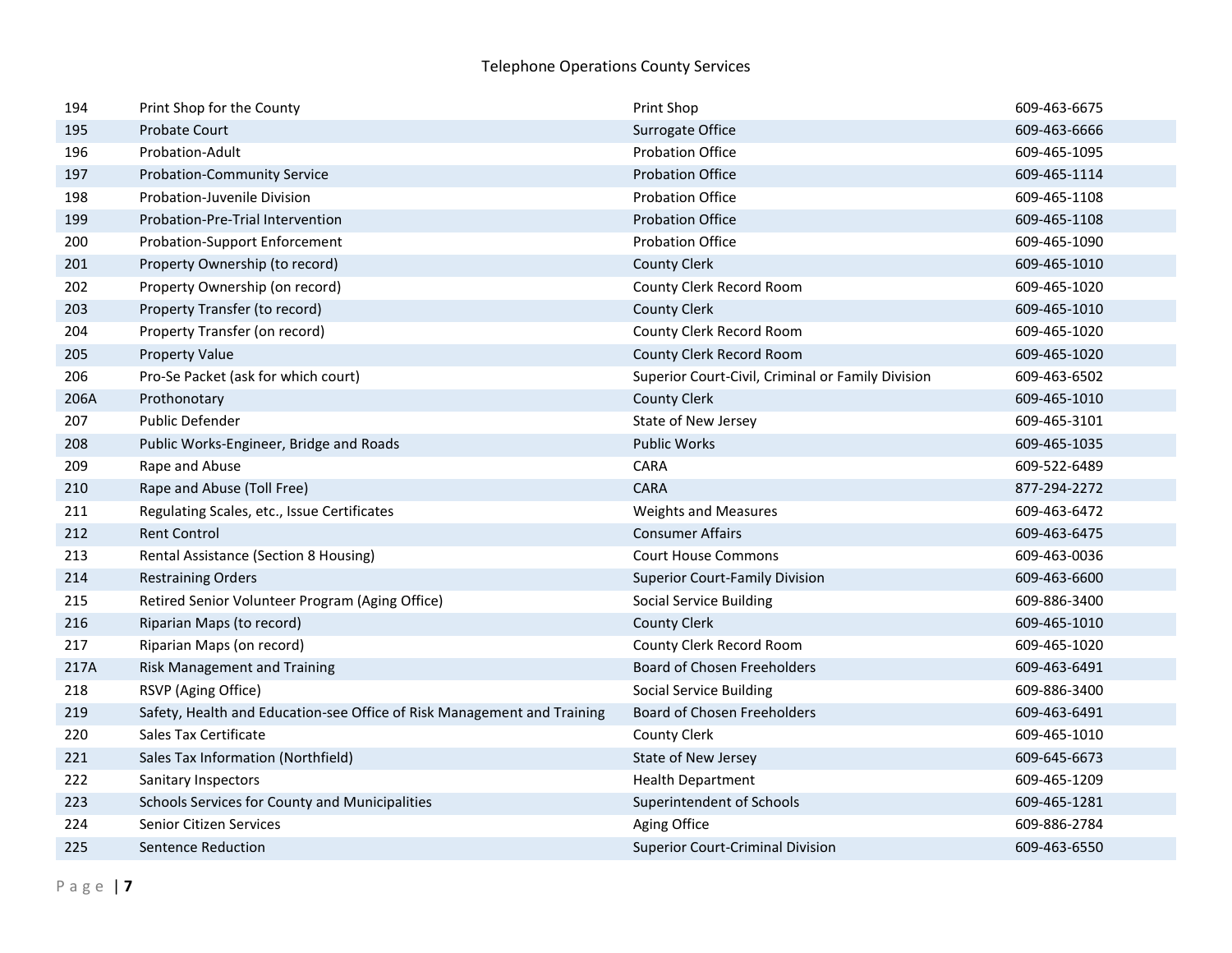| 194  | Print Shop for the County                                               | Print Shop                                        | 609-463-6675 |
|------|-------------------------------------------------------------------------|---------------------------------------------------|--------------|
| 195  | <b>Probate Court</b>                                                    | Surrogate Office                                  | 609-463-6666 |
| 196  | Probation-Adult                                                         | <b>Probation Office</b>                           | 609-465-1095 |
| 197  | <b>Probation-Community Service</b>                                      | <b>Probation Office</b>                           | 609-465-1114 |
| 198  | <b>Probation-Juvenile Division</b>                                      | <b>Probation Office</b>                           | 609-465-1108 |
| 199  | Probation-Pre-Trial Intervention                                        | <b>Probation Office</b>                           | 609-465-1108 |
| 200  | <b>Probation-Support Enforcement</b>                                    | <b>Probation Office</b>                           | 609-465-1090 |
| 201  | Property Ownership (to record)                                          | <b>County Clerk</b>                               | 609-465-1010 |
| 202  | Property Ownership (on record)                                          | County Clerk Record Room                          | 609-465-1020 |
| 203  | Property Transfer (to record)                                           | <b>County Clerk</b>                               | 609-465-1010 |
| 204  | Property Transfer (on record)                                           | County Clerk Record Room                          | 609-465-1020 |
| 205  | <b>Property Value</b>                                                   | County Clerk Record Room                          | 609-465-1020 |
| 206  | Pro-Se Packet (ask for which court)                                     | Superior Court-Civil, Criminal or Family Division | 609-463-6502 |
| 206A | Prothonotary                                                            | <b>County Clerk</b>                               | 609-465-1010 |
| 207  | Public Defender                                                         | State of New Jersey                               | 609-465-3101 |
| 208  | Public Works-Engineer, Bridge and Roads                                 | <b>Public Works</b>                               | 609-465-1035 |
| 209  | Rape and Abuse                                                          | CARA                                              | 609-522-6489 |
| 210  | Rape and Abuse (Toll Free)                                              | <b>CARA</b>                                       | 877-294-2272 |
| 211  | Regulating Scales, etc., Issue Certificates                             | <b>Weights and Measures</b>                       | 609-463-6472 |
| 212  | <b>Rent Control</b>                                                     | <b>Consumer Affairs</b>                           | 609-463-6475 |
| 213  | Rental Assistance (Section 8 Housing)                                   | <b>Court House Commons</b>                        | 609-463-0036 |
| 214  | <b>Restraining Orders</b>                                               | <b>Superior Court-Family Division</b>             | 609-463-6600 |
| 215  | Retired Senior Volunteer Program (Aging Office)                         | <b>Social Service Building</b>                    | 609-886-3400 |
| 216  | Riparian Maps (to record)                                               | <b>County Clerk</b>                               | 609-465-1010 |
| 217  | Riparian Maps (on record)                                               | County Clerk Record Room                          | 609-465-1020 |
| 217A | <b>Risk Management and Training</b>                                     | <b>Board of Chosen Freeholders</b>                | 609-463-6491 |
| 218  | RSVP (Aging Office)                                                     | <b>Social Service Building</b>                    | 609-886-3400 |
| 219  | Safety, Health and Education-see Office of Risk Management and Training | Board of Chosen Freeholders                       | 609-463-6491 |
| 220  | Sales Tax Certificate                                                   | <b>County Clerk</b>                               | 609-465-1010 |
| 221  | Sales Tax Information (Northfield)                                      | State of New Jersey                               | 609-645-6673 |
| 222  | Sanitary Inspectors                                                     | <b>Health Department</b>                          | 609-465-1209 |
| 223  | Schools Services for County and Municipalities                          | Superintendent of Schools                         | 609-465-1281 |
| 224  | <b>Senior Citizen Services</b>                                          | Aging Office                                      | 609-886-2784 |
| 225  | Sentence Reduction                                                      | <b>Superior Court-Criminal Division</b>           | 609-463-6550 |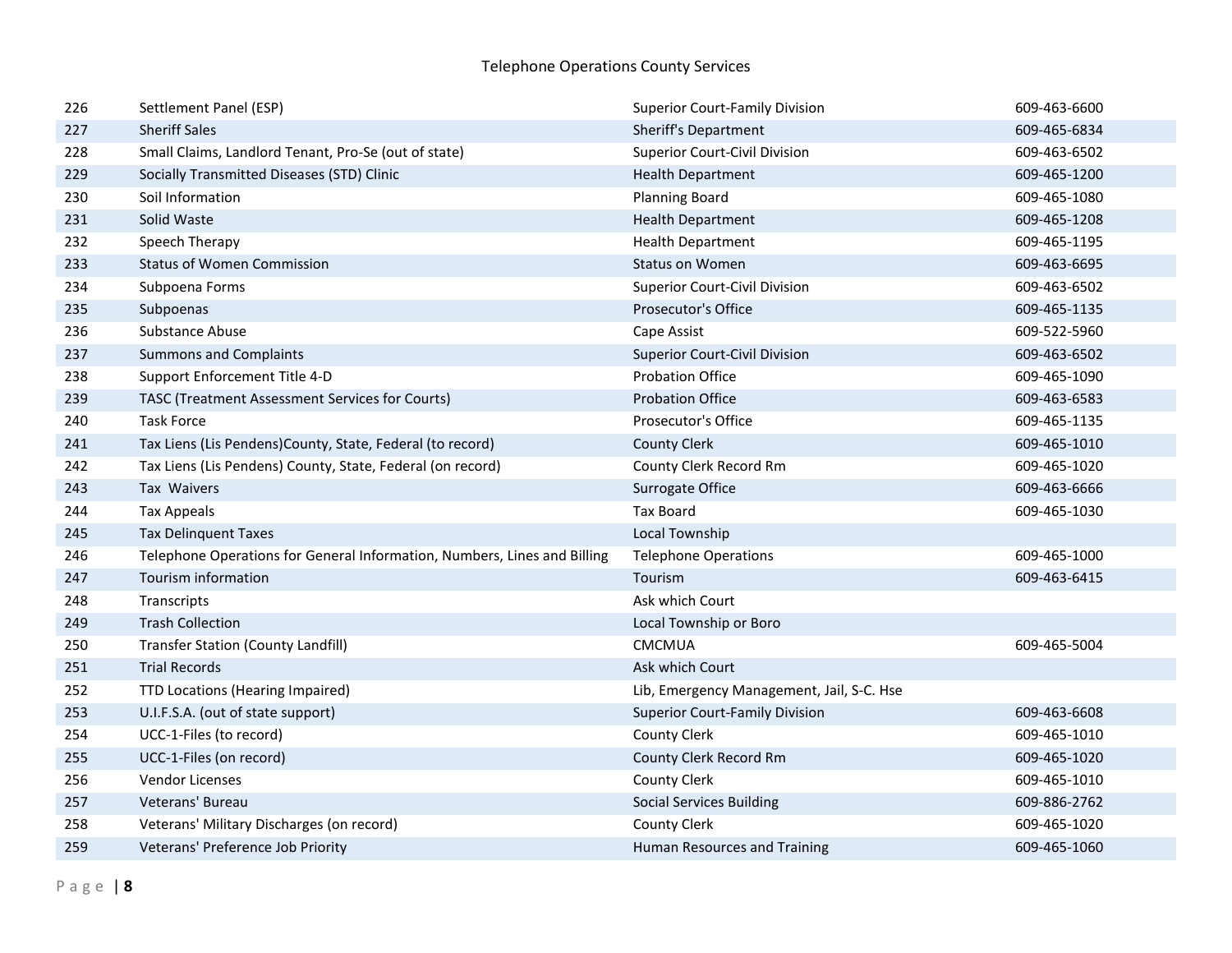| 226 | Settlement Panel (ESP)                                                   | <b>Superior Court-Family Division</b>     | 609-463-6600 |
|-----|--------------------------------------------------------------------------|-------------------------------------------|--------------|
| 227 | <b>Sheriff Sales</b>                                                     | <b>Sheriff's Department</b>               | 609-465-6834 |
| 228 | Small Claims, Landlord Tenant, Pro-Se (out of state)                     | <b>Superior Court-Civil Division</b>      | 609-463-6502 |
| 229 | Socially Transmitted Diseases (STD) Clinic                               | <b>Health Department</b>                  | 609-465-1200 |
| 230 | Soil Information                                                         | <b>Planning Board</b>                     | 609-465-1080 |
| 231 | Solid Waste                                                              | <b>Health Department</b>                  | 609-465-1208 |
| 232 | Speech Therapy                                                           | <b>Health Department</b>                  | 609-465-1195 |
| 233 | <b>Status of Women Commission</b>                                        | <b>Status on Women</b>                    | 609-463-6695 |
| 234 | Subpoena Forms                                                           | <b>Superior Court-Civil Division</b>      | 609-463-6502 |
| 235 | Subpoenas                                                                | Prosecutor's Office                       | 609-465-1135 |
| 236 | Substance Abuse                                                          | Cape Assist                               | 609-522-5960 |
| 237 | <b>Summons and Complaints</b>                                            | <b>Superior Court-Civil Division</b>      | 609-463-6502 |
| 238 | Support Enforcement Title 4-D                                            | <b>Probation Office</b>                   | 609-465-1090 |
| 239 | TASC (Treatment Assessment Services for Courts)                          | <b>Probation Office</b>                   | 609-463-6583 |
| 240 | <b>Task Force</b>                                                        | Prosecutor's Office                       | 609-465-1135 |
| 241 | Tax Liens (Lis Pendens)County, State, Federal (to record)                | <b>County Clerk</b>                       | 609-465-1010 |
| 242 | Tax Liens (Lis Pendens) County, State, Federal (on record)               | County Clerk Record Rm                    | 609-465-1020 |
| 243 | Tax Waivers                                                              | Surrogate Office                          | 609-463-6666 |
| 244 | <b>Tax Appeals</b>                                                       | <b>Tax Board</b>                          | 609-465-1030 |
| 245 | <b>Tax Delinquent Taxes</b>                                              | <b>Local Township</b>                     |              |
| 246 | Telephone Operations for General Information, Numbers, Lines and Billing | <b>Telephone Operations</b>               | 609-465-1000 |
| 247 | Tourism information                                                      | Tourism                                   | 609-463-6415 |
| 248 | Transcripts                                                              | Ask which Court                           |              |
| 249 | <b>Trash Collection</b>                                                  | Local Township or Boro                    |              |
| 250 | <b>Transfer Station (County Landfill)</b>                                | CMCMUA                                    | 609-465-5004 |
| 251 | <b>Trial Records</b>                                                     | Ask which Court                           |              |
| 252 | TTD Locations (Hearing Impaired)                                         | Lib, Emergency Management, Jail, S-C. Hse |              |
| 253 | U.I.F.S.A. (out of state support)                                        | <b>Superior Court-Family Division</b>     | 609-463-6608 |
| 254 | UCC-1-Files (to record)                                                  | <b>County Clerk</b>                       | 609-465-1010 |
| 255 | UCC-1-Files (on record)                                                  | County Clerk Record Rm                    | 609-465-1020 |
| 256 | Vendor Licenses                                                          | <b>County Clerk</b>                       | 609-465-1010 |
| 257 | Veterans' Bureau                                                         | <b>Social Services Building</b>           | 609-886-2762 |
| 258 | Veterans' Military Discharges (on record)                                | <b>County Clerk</b>                       | 609-465-1020 |
| 259 | Veterans' Preference Job Priority                                        | Human Resources and Training              | 609-465-1060 |